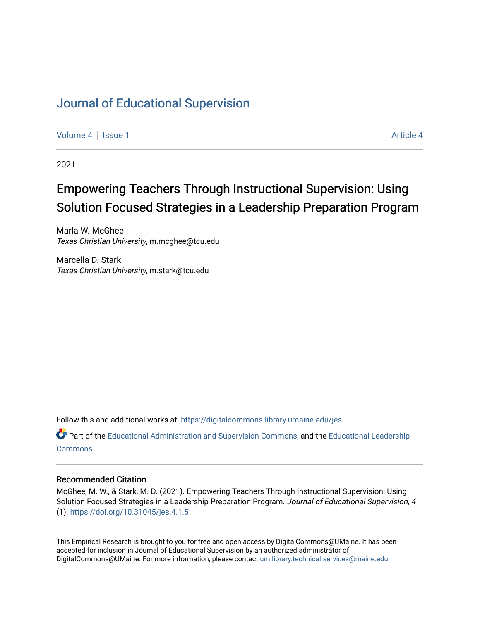# [Journal of Educational Supervision](https://digitalcommons.library.umaine.edu/jes)

[Volume 4](https://digitalcommons.library.umaine.edu/jes/vol4) | [Issue 1](https://digitalcommons.library.umaine.edu/jes/vol4/iss1) [Article 4](https://digitalcommons.library.umaine.edu/jes/vol4/iss1/4) | Article 4 Article 4 | Article 4 Article 4 | Article 4 | Article 4 | Article 4 |

2021

# Empowering Teachers Through Instructional Supervision: Using Solution Focused Strategies in a Leadership Preparation Program

Marla W. McGhee Texas Christian University, m.mcghee@tcu.edu

Marcella D. Stark Texas Christian University, m.stark@tcu.edu

Follow this and additional works at: [https://digitalcommons.library.umaine.edu/jes](https://digitalcommons.library.umaine.edu/jes?utm_source=digitalcommons.library.umaine.edu%2Fjes%2Fvol4%2Fiss1%2F4&utm_medium=PDF&utm_campaign=PDFCoverPages)

**C**<sup> $\bullet$ </sup> Part of the [Educational Administration and Supervision Commons](http://network.bepress.com/hgg/discipline/787?utm_source=digitalcommons.library.umaine.edu%2Fjes%2Fvol4%2Fiss1%2F4&utm_medium=PDF&utm_campaign=PDFCoverPages), and the Educational Leadership **[Commons](http://network.bepress.com/hgg/discipline/1230?utm_source=digitalcommons.library.umaine.edu%2Fjes%2Fvol4%2Fiss1%2F4&utm_medium=PDF&utm_campaign=PDFCoverPages)** 

#### Recommended Citation

McGhee, M. W., & Stark, M. D. (2021). Empowering Teachers Through Instructional Supervision: Using Solution Focused Strategies in a Leadership Preparation Program. Journal of Educational Supervision, 4 (1). <https://doi.org/10.31045/jes.4.1.5>

This Empirical Research is brought to you for free and open access by DigitalCommons@UMaine. It has been accepted for inclusion in Journal of Educational Supervision by an authorized administrator of DigitalCommons@UMaine. For more information, please contact [um.library.technical.services@maine.edu](mailto:um.library.technical.services@maine.edu).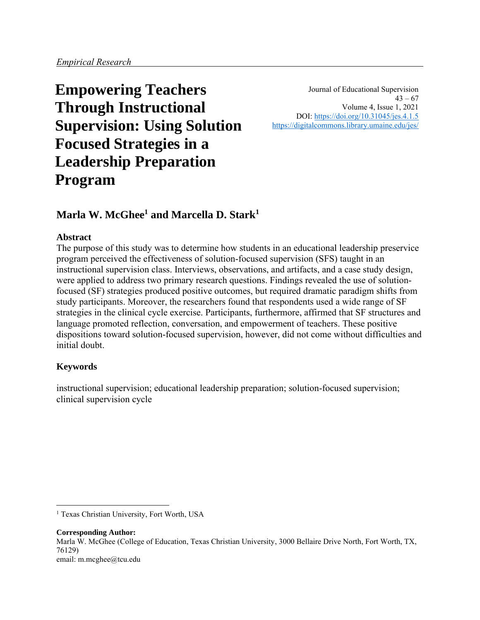# **Empowering Teachers Through Instructional Supervision: Using Solution Focused Strategies in a Leadership Preparation Program**

Journal of Educational Supervision  $43 - 67$ Volume 4, Issue 1, 2021 DOI:<https://doi.org/10.31045/jes.4.1.5> <https://digitalcommons.library.umaine.edu/jes/>

# **Marla W. McGhee<sup>1</sup> and Marcella D. Stark<sup>1</sup>**

# **Abstract**

The purpose of this study was to determine how students in an educational leadership preservice program perceived the effectiveness of solution-focused supervision (SFS) taught in an instructional supervision class. Interviews, observations, and artifacts, and a case study design, were applied to address two primary research questions. Findings revealed the use of solutionfocused (SF) strategies produced positive outcomes, but required dramatic paradigm shifts from study participants. Moreover, the researchers found that respondents used a wide range of SF strategies in the clinical cycle exercise. Participants, furthermore, affirmed that SF structures and language promoted reflection, conversation, and empowerment of teachers. These positive dispositions toward solution-focused supervision, however, did not come without difficulties and initial doubt.

# **Keywords**

instructional supervision; educational leadership preparation; solution-focused supervision; clinical supervision cycle

**Corresponding Author:** Marla W. McGhee (College of Education, Texas Christian University, 3000 Bellaire Drive North, Fort Worth, TX, 76129) email: m.mcghee@tcu.edu

<sup>&</sup>lt;sup>1</sup> Texas Christian University, Fort Worth, USA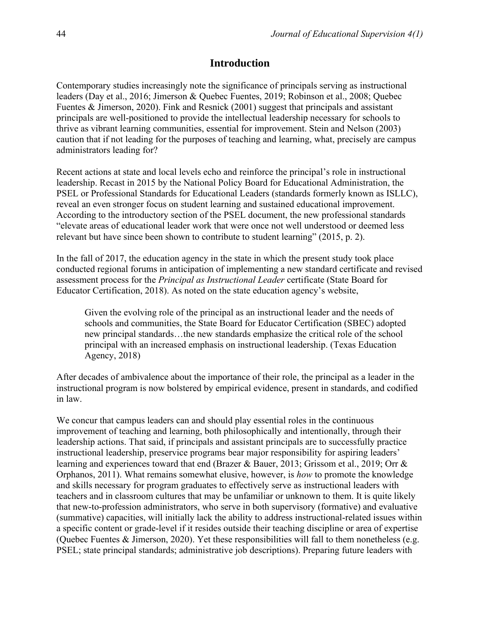# **Introduction**

Contemporary studies increasingly note the significance of principals serving as instructional leaders (Day et al., 2016; Jimerson & Quebec Fuentes, 2019; Robinson et al., 2008; Quebec Fuentes & Jimerson, 2020). Fink and Resnick (2001) suggest that principals and assistant principals are well-positioned to provide the intellectual leadership necessary for schools to thrive as vibrant learning communities, essential for improvement. Stein and Nelson (2003) caution that if not leading for the purposes of teaching and learning, what, precisely are campus administrators leading for?

Recent actions at state and local levels echo and reinforce the principal's role in instructional leadership. Recast in 2015 by the National Policy Board for Educational Administration, the PSEL or Professional Standards for Educational Leaders (standards formerly known as ISLLC), reveal an even stronger focus on student learning and sustained educational improvement. According to the introductory section of the PSEL document, the new professional standards "elevate areas of educational leader work that were once not well understood or deemed less relevant but have since been shown to contribute to student learning" (2015, p. 2).

In the fall of 2017, the education agency in the state in which the present study took place conducted regional forums in anticipation of implementing a new standard certificate and revised assessment process for the *Principal as Instructional Leader* certificate (State Board for Educator Certification, 2018). As noted on the state education agency's website,

Given the evolving role of the principal as an instructional leader and the needs of schools and communities, the State Board for Educator Certification (SBEC) adopted new principal standards…the new standards emphasize the critical role of the school principal with an increased emphasis on instructional leadership. (Texas Education Agency, 2018)

After decades of ambivalence about the importance of their role, the principal as a leader in the instructional program is now bolstered by empirical evidence, present in standards, and codified in law.

We concur that campus leaders can and should play essential roles in the continuous improvement of teaching and learning, both philosophically and intentionally, through their leadership actions. That said, if principals and assistant principals are to successfully practice instructional leadership, preservice programs bear major responsibility for aspiring leaders' learning and experiences toward that end (Brazer & Bauer, 2013; Grissom et al., 2019; Orr & Orphanos, 2011). What remains somewhat elusive, however, is *how* to promote the knowledge and skills necessary for program graduates to effectively serve as instructional leaders with teachers and in classroom cultures that may be unfamiliar or unknown to them. It is quite likely that new-to-profession administrators, who serve in both supervisory (formative) and evaluative (summative) capacities, will initially lack the ability to address instructional-related issues within a specific content or grade-level if it resides outside their teaching discipline or area of expertise (Quebec Fuentes & Jimerson, 2020). Yet these responsibilities will fall to them nonetheless (e.g. PSEL; state principal standards; administrative job descriptions). Preparing future leaders with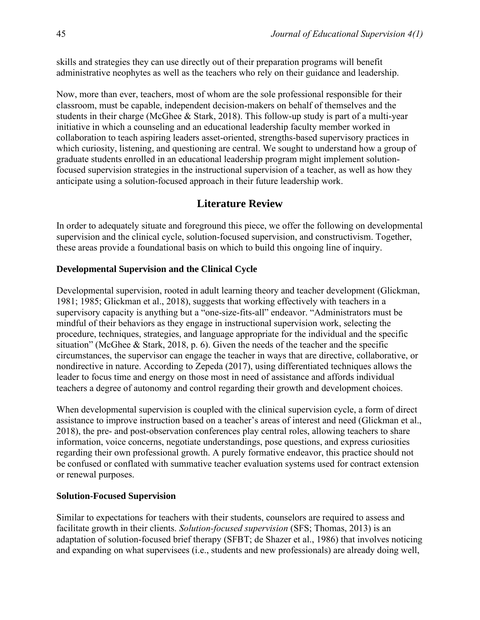skills and strategies they can use directly out of their preparation programs will benefit administrative neophytes as well as the teachers who rely on their guidance and leadership.

Now, more than ever, teachers, most of whom are the sole professional responsible for their classroom, must be capable, independent decision-makers on behalf of themselves and the students in their charge (McGhee & Stark, 2018). This follow-up study is part of a multi-year initiative in which a counseling and an educational leadership faculty member worked in collaboration to teach aspiring leaders asset-oriented, strengths-based supervisory practices in which curiosity, listening, and questioning are central. We sought to understand how a group of graduate students enrolled in an educational leadership program might implement solutionfocused supervision strategies in the instructional supervision of a teacher, as well as how they anticipate using a solution-focused approach in their future leadership work.

# **Literature Review**

In order to adequately situate and foreground this piece, we offer the following on developmental supervision and the clinical cycle, solution-focused supervision, and constructivism. Together, these areas provide a foundational basis on which to build this ongoing line of inquiry.

# **Developmental Supervision and the Clinical Cycle**

Developmental supervision, rooted in adult learning theory and teacher development (Glickman, 1981; 1985; Glickman et al., 2018), suggests that working effectively with teachers in a supervisory capacity is anything but a "one-size-fits-all" endeavor. "Administrators must be mindful of their behaviors as they engage in instructional supervision work, selecting the procedure, techniques, strategies, and language appropriate for the individual and the specific situation" (McGhee & Stark, 2018, p. 6). Given the needs of the teacher and the specific circumstances, the supervisor can engage the teacher in ways that are directive, collaborative, or nondirective in nature. According to Zepeda (2017), using differentiated techniques allows the leader to focus time and energy on those most in need of assistance and affords individual teachers a degree of autonomy and control regarding their growth and development choices.

When developmental supervision is coupled with the clinical supervision cycle, a form of direct assistance to improve instruction based on a teacher's areas of interest and need (Glickman et al., 2018), the pre- and post-observation conferences play central roles, allowing teachers to share information, voice concerns, negotiate understandings, pose questions, and express curiosities regarding their own professional growth. A purely formative endeavor, this practice should not be confused or conflated with summative teacher evaluation systems used for contract extension or renewal purposes.

#### **Solution-Focused Supervision**

Similar to expectations for teachers with their students, counselors are required to assess and facilitate growth in their clients. *Solution-focused supervision* (SFS; Thomas, 2013) is an adaptation of solution-focused brief therapy (SFBT; de Shazer et al., 1986) that involves noticing and expanding on what supervisees (i.e., students and new professionals) are already doing well,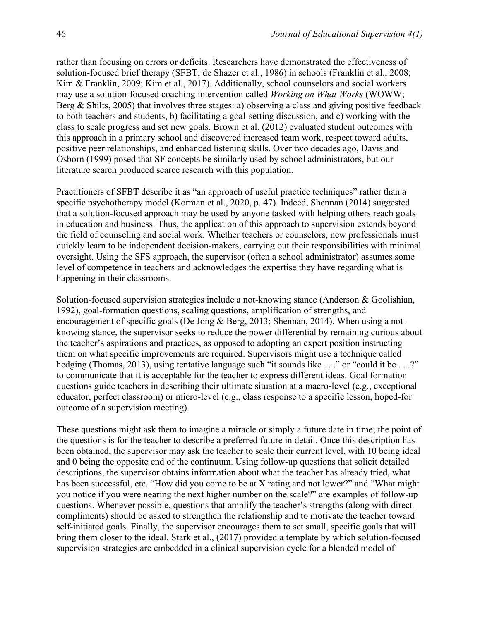rather than focusing on errors or deficits. Researchers have demonstrated the effectiveness of solution-focused brief therapy (SFBT; de Shazer et al., 1986) in schools (Franklin et al., 2008; Kim & Franklin, 2009; Kim et al., 2017). Additionally, school counselors and social workers may use a solution-focused coaching intervention called *Working on What Works* (WOWW; Berg & Shilts, 2005) that involves three stages: a) observing a class and giving positive feedback to both teachers and students, b) facilitating a goal-setting discussion, and c) working with the class to scale progress and set new goals. Brown et al. (2012) evaluated student outcomes with this approach in a primary school and discovered increased team work, respect toward adults, positive peer relationships, and enhanced listening skills. Over two decades ago, Davis and Osborn (1999) posed that SF concepts be similarly used by school administrators, but our literature search produced scarce research with this population.

Practitioners of SFBT describe it as "an approach of useful practice techniques" rather than a specific psychotherapy model (Korman et al., 2020, p. 47). Indeed, Shennan (2014) suggested that a solution-focused approach may be used by anyone tasked with helping others reach goals in education and business. Thus, the application of this approach to supervision extends beyond the field of counseling and social work. Whether teachers or counselors, new professionals must quickly learn to be independent decision-makers, carrying out their responsibilities with minimal oversight. Using the SFS approach, the supervisor (often a school administrator) assumes some level of competence in teachers and acknowledges the expertise they have regarding what is happening in their classrooms.

Solution-focused supervision strategies include a not-knowing stance (Anderson & Goolishian, 1992), goal-formation questions, scaling questions, amplification of strengths, and encouragement of specific goals (De Jong & Berg, 2013; Shennan, 2014). When using a notknowing stance, the supervisor seeks to reduce the power differential by remaining curious about the teacher's aspirations and practices, as opposed to adopting an expert position instructing them on what specific improvements are required. Supervisors might use a technique called hedging (Thomas, 2013), using tentative language such "it sounds like . . ." or "could it be . . .?" to communicate that it is acceptable for the teacher to express different ideas. Goal formation questions guide teachers in describing their ultimate situation at a macro-level (e.g., exceptional educator, perfect classroom) or micro-level (e.g., class response to a specific lesson, hoped-for outcome of a supervision meeting).

These questions might ask them to imagine a miracle or simply a future date in time; the point of the questions is for the teacher to describe a preferred future in detail. Once this description has been obtained, the supervisor may ask the teacher to scale their current level, with 10 being ideal and 0 being the opposite end of the continuum. Using follow-up questions that solicit detailed descriptions, the supervisor obtains information about what the teacher has already tried, what has been successful, etc. "How did you come to be at X rating and not lower?" and "What might you notice if you were nearing the next higher number on the scale?" are examples of follow-up questions. Whenever possible, questions that amplify the teacher's strengths (along with direct compliments) should be asked to strengthen the relationship and to motivate the teacher toward self-initiated goals. Finally, the supervisor encourages them to set small, specific goals that will bring them closer to the ideal. Stark et al., (2017) provided a template by which solution-focused supervision strategies are embedded in a clinical supervision cycle for a blended model of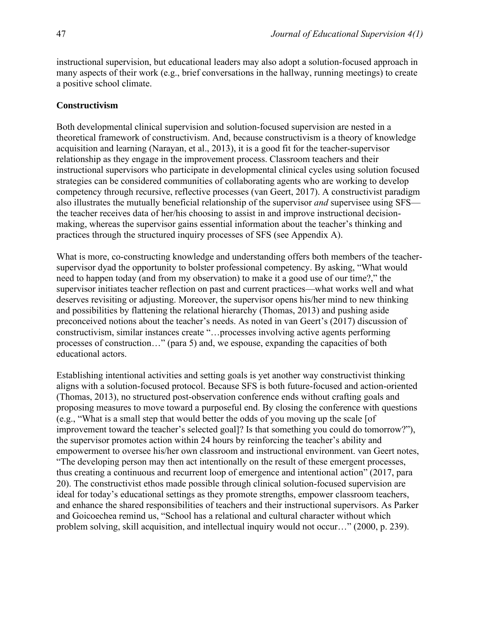instructional supervision, but educational leaders may also adopt a solution-focused approach in many aspects of their work (e.g., brief conversations in the hallway, running meetings) to create a positive school climate.

#### **Constructivism**

Both developmental clinical supervision and solution-focused supervision are nested in a theoretical framework of constructivism. And, because constructivism is a theory of knowledge acquisition and learning (Narayan, et al., 2013), it is a good fit for the teacher-supervisor relationship as they engage in the improvement process. Classroom teachers and their instructional supervisors who participate in developmental clinical cycles using solution focused strategies can be considered communities of collaborating agents who are working to develop competency through recursive, reflective processes (van Geert, 2017). A constructivist paradigm also illustrates the mutually beneficial relationship of the supervisor *and* supervisee using SFS the teacher receives data of her/his choosing to assist in and improve instructional decisionmaking, whereas the supervisor gains essential information about the teacher's thinking and practices through the structured inquiry processes of SFS (see Appendix A).

What is more, co-constructing knowledge and understanding offers both members of the teachersupervisor dyad the opportunity to bolster professional competency. By asking, "What would need to happen today (and from my observation) to make it a good use of our time?," the supervisor initiates teacher reflection on past and current practices—what works well and what deserves revisiting or adjusting. Moreover, the supervisor opens his/her mind to new thinking and possibilities by flattening the relational hierarchy (Thomas, 2013) and pushing aside preconceived notions about the teacher's needs. As noted in van Geert's (2017) discussion of constructivism, similar instances create "…processes involving active agents performing processes of construction…" (para 5) and, we espouse, expanding the capacities of both educational actors.

Establishing intentional activities and setting goals is yet another way constructivist thinking aligns with a solution-focused protocol. Because SFS is both future-focused and action-oriented (Thomas, 2013), no structured post-observation conference ends without crafting goals and proposing measures to move toward a purposeful end. By closing the conference with questions (e.g., "What is a small step that would better the odds of you moving up the scale [of improvement toward the teacher's selected goal]? Is that something you could do tomorrow?"), the supervisor promotes action within 24 hours by reinforcing the teacher's ability and empowerment to oversee his/her own classroom and instructional environment. van Geert notes, "The developing person may then act intentionally on the result of these emergent processes, thus creating a continuous and recurrent loop of emergence and intentional action" (2017, para 20). The constructivist ethos made possible through clinical solution-focused supervision are ideal for today's educational settings as they promote strengths, empower classroom teachers, and enhance the shared responsibilities of teachers and their instructional supervisors. As Parker and Goicoechea remind us, "School has a relational and cultural character without which problem solving, skill acquisition, and intellectual inquiry would not occur…" (2000, p. 239).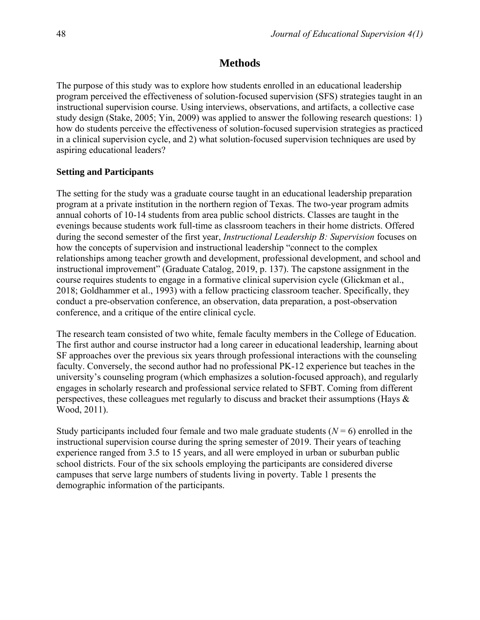# **Methods**

The purpose of this study was to explore how students enrolled in an educational leadership program perceived the effectiveness of solution-focused supervision (SFS) strategies taught in an instructional supervision course. Using interviews, observations, and artifacts, a collective case study design (Stake, 2005; Yin, 2009) was applied to answer the following research questions: 1) how do students perceive the effectiveness of solution-focused supervision strategies as practiced in a clinical supervision cycle, and 2) what solution-focused supervision techniques are used by aspiring educational leaders?

# **Setting and Participants**

The setting for the study was a graduate course taught in an educational leadership preparation program at a private institution in the northern region of Texas. The two-year program admits annual cohorts of 10-14 students from area public school districts. Classes are taught in the evenings because students work full-time as classroom teachers in their home districts. Offered during the second semester of the first year, *Instructional Leadership B: Supervision* focuses on how the concepts of supervision and instructional leadership "connect to the complex relationships among teacher growth and development, professional development, and school and instructional improvement" (Graduate Catalog, 2019, p. 137). The capstone assignment in the course requires students to engage in a formative clinical supervision cycle (Glickman et al., 2018; Goldhammer et al., 1993) with a fellow practicing classroom teacher. Specifically, they conduct a pre-observation conference, an observation, data preparation, a post-observation conference, and a critique of the entire clinical cycle.

The research team consisted of two white, female faculty members in the College of Education. The first author and course instructor had a long career in educational leadership, learning about SF approaches over the previous six years through professional interactions with the counseling faculty. Conversely, the second author had no professional PK-12 experience but teaches in the university's counseling program (which emphasizes a solution-focused approach), and regularly engages in scholarly research and professional service related to SFBT. Coming from different perspectives, these colleagues met regularly to discuss and bracket their assumptions (Hays & Wood, 2011).

Study participants included four female and two male graduate students  $(N = 6)$  enrolled in the instructional supervision course during the spring semester of 2019. Their years of teaching experience ranged from 3.5 to 15 years, and all were employed in urban or suburban public school districts. Four of the six schools employing the participants are considered diverse campuses that serve large numbers of students living in poverty. Table 1 presents the demographic information of the participants.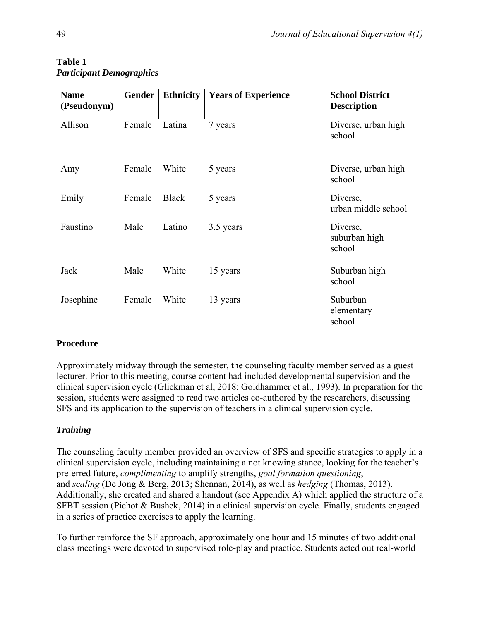| <b>Name</b><br>(Pseudonym) | <b>Gender</b> | <b>Ethnicity</b> | <b>Years of Experience</b> | <b>School District</b><br><b>Description</b> |
|----------------------------|---------------|------------------|----------------------------|----------------------------------------------|
| Allison                    | Female        | Latina           | 7 years                    | Diverse, urban high<br>school                |
| Amy                        | Female        | White            | 5 years                    | Diverse, urban high<br>school                |
| Emily                      | Female        | <b>Black</b>     | 5 years                    | Diverse,<br>urban middle school              |
| Faustino                   | Male          | Latino           | 3.5 years                  | Diverse,<br>suburban high<br>school          |
| Jack                       | Male          | White            | 15 years                   | Suburban high<br>school                      |
| Josephine                  | Female        | White            | 13 years                   | Suburban<br>elementary<br>school             |

#### **Table 1** *Participant Demographics*

# **Procedure**

Approximately midway through the semester, the counseling faculty member served as a guest lecturer. Prior to this meeting, course content had included developmental supervision and the clinical supervision cycle (Glickman et al, 2018; Goldhammer et al., 1993). In preparation for the session, students were assigned to read two articles co-authored by the researchers, discussing SFS and its application to the supervision of teachers in a clinical supervision cycle.

# *Training*

The counseling faculty member provided an overview of SFS and specific strategies to apply in a clinical supervision cycle, including maintaining a not knowing stance, looking for the teacher's preferred future, *complimenting* to amplify strengths, *goal formation questioning*, and *scaling* (De Jong & Berg, 2013; Shennan, 2014), as well as *hedging* (Thomas, 2013). Additionally, she created and shared a handout (see Appendix A) which applied the structure of a SFBT session (Pichot & Bushek, 2014) in a clinical supervision cycle. Finally, students engaged in a series of practice exercises to apply the learning.

To further reinforce the SF approach, approximately one hour and 15 minutes of two additional class meetings were devoted to supervised role-play and practice. Students acted out real-world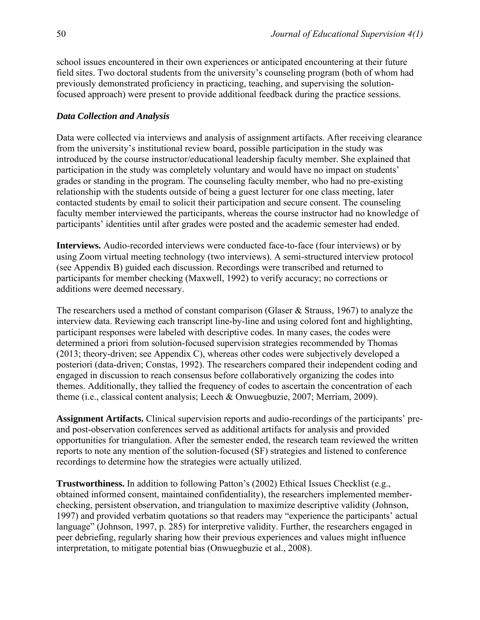school issues encountered in their own experiences or anticipated encountering at their future field sites. Two doctoral students from the university's counseling program (both of whom had previously demonstrated proficiency in practicing, teaching, and supervising the solutionfocused approach) were present to provide additional feedback during the practice sessions.

#### *Data Collection and Analysis*

Data were collected via interviews and analysis of assignment artifacts. After receiving clearance from the university's institutional review board, possible participation in the study was introduced by the course instructor/educational leadership faculty member. She explained that participation in the study was completely voluntary and would have no impact on students' grades or standing in the program. The counseling faculty member, who had no pre-existing relationship with the students outside of being a guest lecturer for one class meeting, later contacted students by email to solicit their participation and secure consent. The counseling faculty member interviewed the participants, whereas the course instructor had no knowledge of participants' identities until after grades were posted and the academic semester had ended.

**Interviews.** Audio-recorded interviews were conducted face-to-face (four interviews) or by using Zoom virtual meeting technology (two interviews). A semi-structured interview protocol (see Appendix B) guided each discussion. Recordings were transcribed and returned to participants for member checking (Maxwell, 1992) to verify accuracy; no corrections or additions were deemed necessary.

The researchers used a method of constant comparison (Glaser & Strauss, 1967) to analyze the interview data. Reviewing each transcript line-by-line and using colored font and highlighting, participant responses were labeled with descriptive codes. In many cases, the codes were determined a priori from solution-focused supervision strategies recommended by Thomas (2013; theory-driven; see Appendix C), whereas other codes were subjectively developed a posteriori (data-driven; Constas, 1992). The researchers compared their independent coding and engaged in discussion to reach consensus before collaboratively organizing the codes into themes. Additionally, they tallied the frequency of codes to ascertain the concentration of each theme (i.e., classical content analysis; Leech & Onwuegbuzie, 2007; Merriam, 2009).

**Assignment Artifacts.** Clinical supervision reports and audio-recordings of the participants' preand post-observation conferences served as additional artifacts for analysis and provided opportunities for triangulation. After the semester ended, the research team reviewed the written reports to note any mention of the solution-focused (SF) strategies and listened to conference recordings to determine how the strategies were actually utilized.

**Trustworthiness.** In addition to following Patton's (2002) Ethical Issues Checklist (e.g., obtained informed consent, maintained confidentiality), the researchers implemented memberchecking, persistent observation, and triangulation to maximize descriptive validity (Johnson, 1997) and provided verbatim quotations so that readers may "experience the participants' actual language" (Johnson, 1997, p. 285) for interpretive validity. Further, the researchers engaged in peer debriefing, regularly sharing how their previous experiences and values might influence interpretation, to mitigate potential bias (Onwuegbuzie et al., 2008).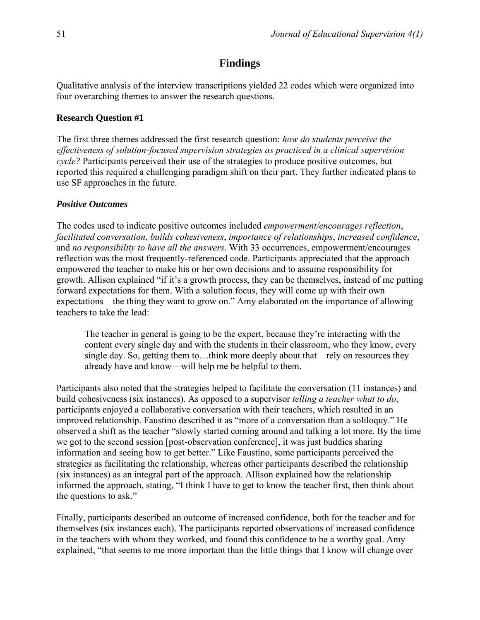# **Findings**

Qualitative analysis of the interview transcriptions yielded 22 codes which were organized into four overarching themes to answer the research questions.

#### **Research Question #1**

The first three themes addressed the first research question: *how do students perceive the effectiveness of solution-focused supervision strategies as practiced in a clinical supervision cycle?* Participants perceived their use of the strategies to produce positive outcomes, but reported this required a challenging paradigm shift on their part. They further indicated plans to use SF approaches in the future.

#### *Positive Outcomes*

The codes used to indicate positive outcomes included *empowerment/encourages reflection*, *facilitated conversation*, *builds cohesiveness*, *importance of relationships*, *increased confidence*, and *no responsibility to have all the answers*. With 33 occurrences, empowerment/encourages reflection was the most frequently-referenced code. Participants appreciated that the approach empowered the teacher to make his or her own decisions and to assume responsibility for growth. Allison explained "if it's a growth process, they can be themselves, instead of me putting forward expectations for them. With a solution focus, they will come up with their own expectations—the thing they want to grow on." Amy elaborated on the importance of allowing teachers to take the lead:

The teacher in general is going to be the expert, because they're interacting with the content every single day and with the students in their classroom, who they know, every single day. So, getting them to…think more deeply about that—rely on resources they already have and know—will help me be helpful to them.

Participants also noted that the strategies helped to facilitate the conversation (11 instances) and build cohesiveness (six instances). As opposed to a supervisor *telling a teacher what to do*, participants enjoyed a collaborative conversation with their teachers, which resulted in an improved relationship. Faustino described it as "more of a conversation than a soliloquy." He observed a shift as the teacher "slowly started coming around and talking a lot more. By the time we got to the second session [post-observation conference], it was just buddies sharing information and seeing how to get better." Like Faustino, some participants perceived the strategies as facilitating the relationship, whereas other participants described the relationship (six instances) as an integral part of the approach. Allison explained how the relationship informed the approach, stating, "I think I have to get to know the teacher first, then think about the questions to ask."

Finally, participants described an outcome of increased confidence, both for the teacher and for themselves (six instances each). The participants reported observations of increased confidence in the teachers with whom they worked, and found this confidence to be a worthy goal. Amy explained, "that seems to me more important than the little things that I know will change over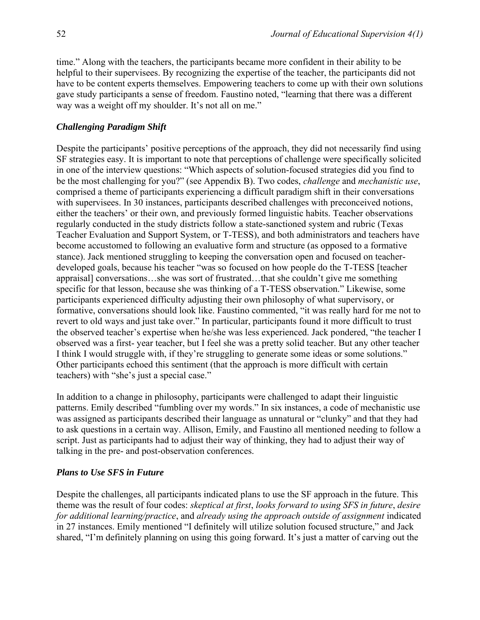time." Along with the teachers, the participants became more confident in their ability to be helpful to their supervisees. By recognizing the expertise of the teacher, the participants did not have to be content experts themselves. Empowering teachers to come up with their own solutions gave study participants a sense of freedom. Faustino noted, "learning that there was a different way was a weight off my shoulder. It's not all on me."

# *Challenging Paradigm Shift*

Despite the participants' positive perceptions of the approach, they did not necessarily find using SF strategies easy. It is important to note that perceptions of challenge were specifically solicited in one of the interview questions: "Which aspects of solution-focused strategies did you find to be the most challenging for you?" (see Appendix B). Two codes, *challenge* and *mechanistic use*, comprised a theme of participants experiencing a difficult paradigm shift in their conversations with supervisees. In 30 instances, participants described challenges with preconceived notions, either the teachers' or their own, and previously formed linguistic habits. Teacher observations regularly conducted in the study districts follow a state-sanctioned system and rubric (Texas Teacher Evaluation and Support System, or T-TESS), and both administrators and teachers have become accustomed to following an evaluative form and structure (as opposed to a formative stance). Jack mentioned struggling to keeping the conversation open and focused on teacherdeveloped goals, because his teacher "was so focused on how people do the T-TESS [teacher appraisal] conversations…she was sort of frustrated…that she couldn't give me something specific for that lesson, because she was thinking of a T-TESS observation." Likewise, some participants experienced difficulty adjusting their own philosophy of what supervisory, or formative, conversations should look like. Faustino commented, "it was really hard for me not to revert to old ways and just take over." In particular, participants found it more difficult to trust the observed teacher's expertise when he/she was less experienced. Jack pondered, "the teacher I observed was a first- year teacher, but I feel she was a pretty solid teacher. But any other teacher I think I would struggle with, if they're struggling to generate some ideas or some solutions." Other participants echoed this sentiment (that the approach is more difficult with certain teachers) with "she's just a special case."

In addition to a change in philosophy, participants were challenged to adapt their linguistic patterns. Emily described "fumbling over my words." In six instances, a code of mechanistic use was assigned as participants described their language as unnatural or "clunky" and that they had to ask questions in a certain way. Allison, Emily, and Faustino all mentioned needing to follow a script. Just as participants had to adjust their way of thinking, they had to adjust their way of talking in the pre- and post-observation conferences.

# *Plans to Use SFS in Future*

Despite the challenges, all participants indicated plans to use the SF approach in the future. This theme was the result of four codes: *skeptical at first*, *looks forward to using SFS in future*, *desire for additional learning/practice*, and *already using the approach outside of assignment* indicated in 27 instances. Emily mentioned "I definitely will utilize solution focused structure," and Jack shared, "I'm definitely planning on using this going forward. It's just a matter of carving out the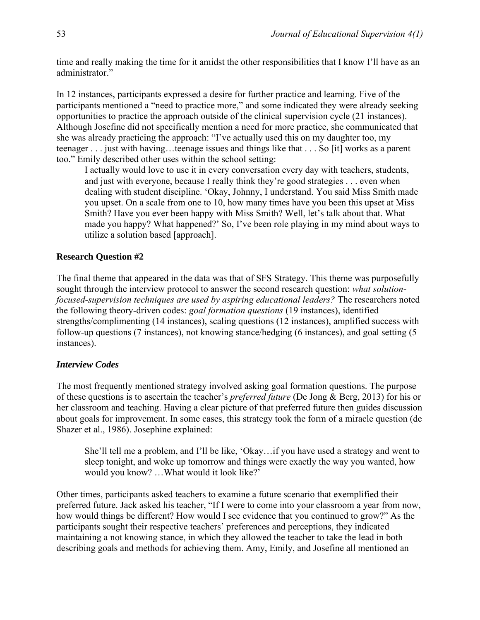time and really making the time for it amidst the other responsibilities that I know I'll have as an administrator."

In 12 instances, participants expressed a desire for further practice and learning. Five of the participants mentioned a "need to practice more," and some indicated they were already seeking opportunities to practice the approach outside of the clinical supervision cycle (21 instances). Although Josefine did not specifically mention a need for more practice, she communicated that she was already practicing the approach: "I've actually used this on my daughter too, my teenager . . . just with having…teenage issues and things like that . . . So [it] works as a parent too." Emily described other uses within the school setting:

I actually would love to use it in every conversation every day with teachers, students, and just with everyone, because I really think they're good strategies . . . even when dealing with student discipline. 'Okay, Johnny, I understand. You said Miss Smith made you upset. On a scale from one to 10, how many times have you been this upset at Miss Smith? Have you ever been happy with Miss Smith? Well, let's talk about that. What made you happy? What happened?' So, I've been role playing in my mind about ways to utilize a solution based [approach].

#### **Research Question #2**

The final theme that appeared in the data was that of SFS Strategy. This theme was purposefully sought through the interview protocol to answer the second research question: *what solutionfocused-supervision techniques are used by aspiring educational leaders?* The researchers noted the following theory-driven codes: *goal formation questions* (19 instances), identified strengths/complimenting (14 instances), scaling questions (12 instances), amplified success with follow-up questions (7 instances), not knowing stance/hedging (6 instances), and goal setting (5 instances).

#### *Interview Codes*

The most frequently mentioned strategy involved asking goal formation questions. The purpose of these questions is to ascertain the teacher's *preferred future* (De Jong & Berg, 2013) for his or her classroom and teaching. Having a clear picture of that preferred future then guides discussion about goals for improvement. In some cases, this strategy took the form of a miracle question (de Shazer et al., 1986). Josephine explained:

She'll tell me a problem, and I'll be like, 'Okay…if you have used a strategy and went to sleep tonight, and woke up tomorrow and things were exactly the way you wanted, how would you know? …What would it look like?'

Other times, participants asked teachers to examine a future scenario that exemplified their preferred future. Jack asked his teacher, "If I were to come into your classroom a year from now, how would things be different? How would I see evidence that you continued to grow?" As the participants sought their respective teachers' preferences and perceptions, they indicated maintaining a not knowing stance, in which they allowed the teacher to take the lead in both describing goals and methods for achieving them. Amy, Emily, and Josefine all mentioned an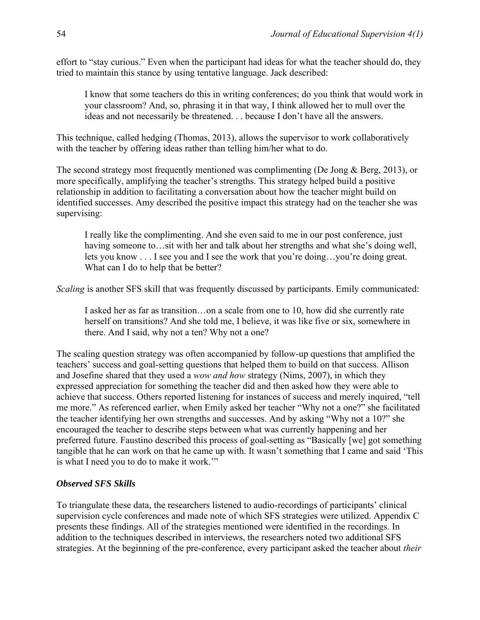effort to "stay curious." Even when the participant had ideas for what the teacher should do, they tried to maintain this stance by using tentative language. Jack described:

I know that some teachers do this in writing conferences; do you think that would work in your classroom? And, so, phrasing it in that way, I think allowed her to mull over the ideas and not necessarily be threatened. . . because I don't have all the answers.

This technique, called hedging (Thomas, 2013), allows the supervisor to work collaboratively with the teacher by offering ideas rather than telling him/her what to do.

The second strategy most frequently mentioned was complimenting (De Jong & Berg, 2013), or more specifically, amplifying the teacher's strengths. This strategy helped build a positive relationship in addition to facilitating a conversation about how the teacher might build on identified successes. Amy described the positive impact this strategy had on the teacher she was supervising:

I really like the complimenting. And she even said to me in our post conference, just having someone to...sit with her and talk about her strengths and what she's doing well, lets you know . . . I see you and I see the work that you're doing…you're doing great. What can I do to help that be better?

*Scaling* is another SFS skill that was frequently discussed by participants. Emily communicated:

I asked her as far as transition…on a scale from one to 10, how did she currently rate herself on transitions? And she told me, I believe, it was like five or six, somewhere in there. And I said, why not a ten? Why not a one?

The scaling question strategy was often accompanied by follow-up questions that amplified the teachers' success and goal-setting questions that helped them to build on that success. Allison and Josefine shared that they used a *wow and how* strategy (Nims, 2007), in which they expressed appreciation for something the teacher did and then asked how they were able to achieve that success. Others reported listening for instances of success and merely inquired, "tell me more." As referenced earlier, when Emily asked her teacher "Why not a one?" she facilitated the teacher identifying her own strengths and successes. And by asking "Why not a 10?" she encouraged the teacher to describe steps between what was currently happening and her preferred future. Faustino described this process of goal-setting as "Basically [we] got something tangible that he can work on that he came up with. It wasn't something that I came and said 'This is what I need you to do to make it work.'"

#### *Observed SFS Skills*

To triangulate these data, the researchers listened to audio-recordings of participants' clinical supervision cycle conferences and made note of which SFS strategies were utilized. Appendix C presents these findings. All of the strategies mentioned were identified in the recordings. In addition to the techniques described in interviews, the researchers noted two additional SFS strategies. At the beginning of the pre-conference, every participant asked the teacher about *their*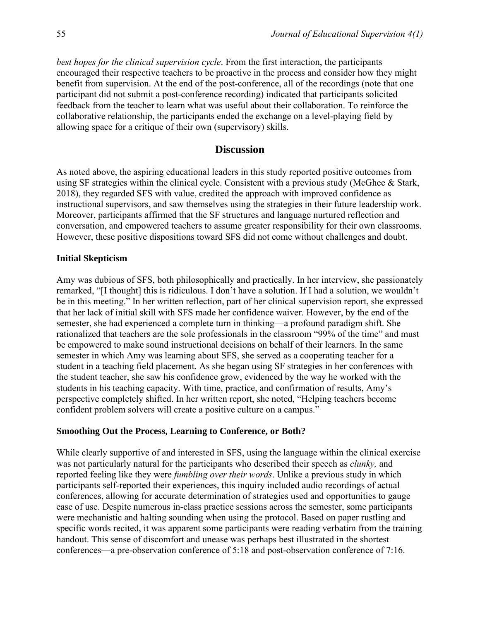*best hopes for the clinical supervision cycle*. From the first interaction, the participants encouraged their respective teachers to be proactive in the process and consider how they might benefit from supervision. At the end of the post-conference, all of the recordings (note that one participant did not submit a post-conference recording) indicated that participants solicited feedback from the teacher to learn what was useful about their collaboration. To reinforce the collaborative relationship, the participants ended the exchange on a level-playing field by allowing space for a critique of their own (supervisory) skills.

# **Discussion**

As noted above, the aspiring educational leaders in this study reported positive outcomes from using SF strategies within the clinical cycle. Consistent with a previous study (McGhee & Stark, 2018), they regarded SFS with value, credited the approach with improved confidence as instructional supervisors, and saw themselves using the strategies in their future leadership work. Moreover, participants affirmed that the SF structures and language nurtured reflection and conversation, and empowered teachers to assume greater responsibility for their own classrooms. However, these positive dispositions toward SFS did not come without challenges and doubt.

#### **Initial Skepticism**

Amy was dubious of SFS, both philosophically and practically. In her interview, she passionately remarked, "[I thought] this is ridiculous. I don't have a solution. If I had a solution, we wouldn't be in this meeting." In her written reflection, part of her clinical supervision report, she expressed that her lack of initial skill with SFS made her confidence waiver. However, by the end of the semester, she had experienced a complete turn in thinking—a profound paradigm shift. She rationalized that teachers are the sole professionals in the classroom "99% of the time" and must be empowered to make sound instructional decisions on behalf of their learners. In the same semester in which Amy was learning about SFS, she served as a cooperating teacher for a student in a teaching field placement. As she began using SF strategies in her conferences with the student teacher, she saw his confidence grow, evidenced by the way he worked with the students in his teaching capacity. With time, practice, and confirmation of results, Amy's perspective completely shifted. In her written report, she noted, "Helping teachers become confident problem solvers will create a positive culture on a campus."

#### **Smoothing Out the Process, Learning to Conference, or Both?**

While clearly supportive of and interested in SFS, using the language within the clinical exercise was not particularly natural for the participants who described their speech as *clunky,* and reported feeling like they were *fumbling over their words*. Unlike a previous study in which participants self-reported their experiences, this inquiry included audio recordings of actual conferences, allowing for accurate determination of strategies used and opportunities to gauge ease of use. Despite numerous in-class practice sessions across the semester, some participants were mechanistic and halting sounding when using the protocol. Based on paper rustling and specific words recited, it was apparent some participants were reading verbatim from the training handout. This sense of discomfort and unease was perhaps best illustrated in the shortest conferences—a pre-observation conference of 5:18 and post-observation conference of 7:16.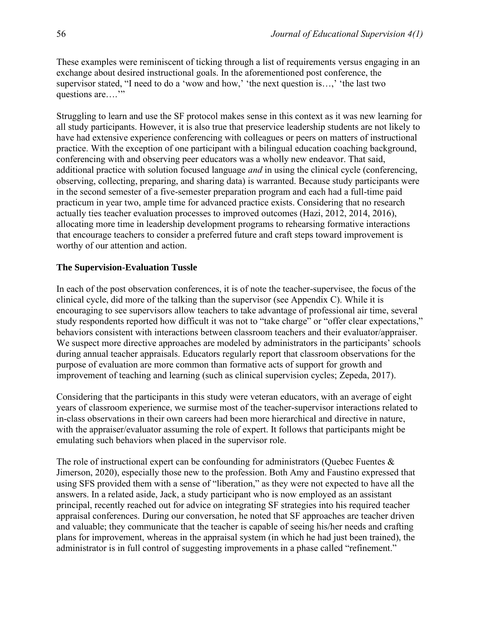These examples were reminiscent of ticking through a list of requirements versus engaging in an exchange about desired instructional goals. In the aforementioned post conference, the supervisor stated, "I need to do a 'wow and how,' the next question is...,' the last two questions are…."

Struggling to learn and use the SF protocol makes sense in this context as it was new learning for all study participants. However, it is also true that preservice leadership students are not likely to have had extensive experience conferencing with colleagues or peers on matters of instructional practice. With the exception of one participant with a bilingual education coaching background, conferencing with and observing peer educators was a wholly new endeavor. That said, additional practice with solution focused language *and* in using the clinical cycle (conferencing, observing, collecting, preparing, and sharing data) is warranted. Because study participants were in the second semester of a five-semester preparation program and each had a full-time paid practicum in year two, ample time for advanced practice exists. Considering that no research actually ties teacher evaluation processes to improved outcomes (Hazi, 2012, 2014, 2016), allocating more time in leadership development programs to rehearsing formative interactions that encourage teachers to consider a preferred future and craft steps toward improvement is worthy of our attention and action.

#### **The Supervision-Evaluation Tussle**

In each of the post observation conferences, it is of note the teacher-supervisee, the focus of the clinical cycle, did more of the talking than the supervisor (see Appendix C). While it is encouraging to see supervisors allow teachers to take advantage of professional air time, several study respondents reported how difficult it was not to "take charge" or "offer clear expectations," behaviors consistent with interactions between classroom teachers and their evaluator/appraiser. We suspect more directive approaches are modeled by administrators in the participants' schools during annual teacher appraisals. Educators regularly report that classroom observations for the purpose of evaluation are more common than formative acts of support for growth and improvement of teaching and learning (such as clinical supervision cycles; Zepeda, 2017).

Considering that the participants in this study were veteran educators, with an average of eight years of classroom experience, we surmise most of the teacher-supervisor interactions related to in-class observations in their own careers had been more hierarchical and directive in nature, with the appraiser/evaluator assuming the role of expert. It follows that participants might be emulating such behaviors when placed in the supervisor role.

The role of instructional expert can be confounding for administrators (Quebec Fuentes  $\&$ Jimerson, 2020), especially those new to the profession. Both Amy and Faustino expressed that using SFS provided them with a sense of "liberation," as they were not expected to have all the answers. In a related aside, Jack, a study participant who is now employed as an assistant principal, recently reached out for advice on integrating SF strategies into his required teacher appraisal conferences. During our conversation, he noted that SF approaches are teacher driven and valuable; they communicate that the teacher is capable of seeing his/her needs and crafting plans for improvement, whereas in the appraisal system (in which he had just been trained), the administrator is in full control of suggesting improvements in a phase called "refinement."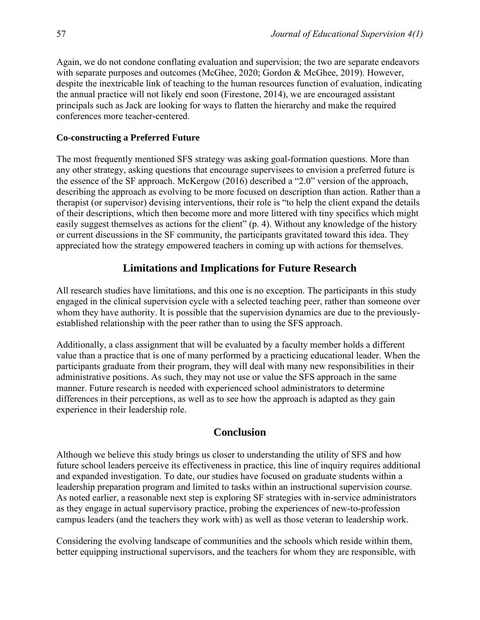Again, we do not condone conflating evaluation and supervision; the two are separate endeavors with separate purposes and outcomes (McGhee, 2020; Gordon & McGhee, 2019). However, despite the inextricable link of teaching to the human resources function of evaluation, indicating the annual practice will not likely end soon (Firestone, 2014), we are encouraged assistant principals such as Jack are looking for ways to flatten the hierarchy and make the required conferences more teacher-centered.

#### **Co-constructing a Preferred Future**

The most frequently mentioned SFS strategy was asking goal-formation questions. More than any other strategy, asking questions that encourage supervisees to envision a preferred future is the essence of the SF approach. McKergow (2016) described a "2.0" version of the approach, describing the approach as evolving to be more focused on description than action. Rather than a therapist (or supervisor) devising interventions, their role is "to help the client expand the details of their descriptions, which then become more and more littered with tiny specifics which might easily suggest themselves as actions for the client" (p. 4). Without any knowledge of the history or current discussions in the SF community, the participants gravitated toward this idea. They appreciated how the strategy empowered teachers in coming up with actions for themselves.

# **Limitations and Implications for Future Research**

All research studies have limitations, and this one is no exception. The participants in this study engaged in the clinical supervision cycle with a selected teaching peer, rather than someone over whom they have authority. It is possible that the supervision dynamics are due to the previouslyestablished relationship with the peer rather than to using the SFS approach.

Additionally, a class assignment that will be evaluated by a faculty member holds a different value than a practice that is one of many performed by a practicing educational leader. When the participants graduate from their program, they will deal with many new responsibilities in their administrative positions. As such, they may not use or value the SFS approach in the same manner. Future research is needed with experienced school administrators to determine differences in their perceptions, as well as to see how the approach is adapted as they gain experience in their leadership role.

# **Conclusion**

Although we believe this study brings us closer to understanding the utility of SFS and how future school leaders perceive its effectiveness in practice, this line of inquiry requires additional and expanded investigation. To date, our studies have focused on graduate students within a leadership preparation program and limited to tasks within an instructional supervision course. As noted earlier, a reasonable next step is exploring SF strategies with in-service administrators as they engage in actual supervisory practice, probing the experiences of new-to-profession campus leaders (and the teachers they work with) as well as those veteran to leadership work.

Considering the evolving landscape of communities and the schools which reside within them, better equipping instructional supervisors, and the teachers for whom they are responsible, with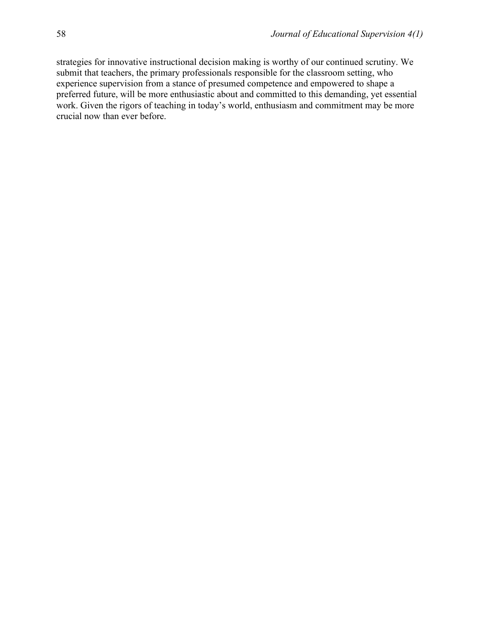strategies for innovative instructional decision making is worthy of our continued scrutiny. We submit that teachers, the primary professionals responsible for the classroom setting, who experience supervision from a stance of presumed competence and empowered to shape a preferred future, will be more enthusiastic about and committed to this demanding, yet essential work. Given the rigors of teaching in today's world, enthusiasm and commitment may be more crucial now than ever before.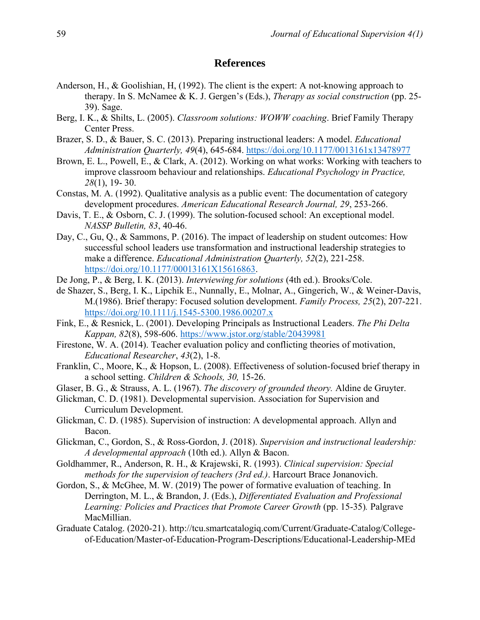# **References**

- Anderson, H., & Goolishian, H, (1992). The client is the expert: A not-knowing approach to therapy. In S. McNamee & K. J. Gergen's (Eds.), *Therapy as social construction* (pp. 25- 39). Sage.
- Berg, I. K., & Shilts, L. (2005). *Classroom solutions: WOWW coaching*. Brief Family Therapy Center Press.
- Brazer, S. D., & Bauer, S. C. (2013). Preparing instructional leaders: A model. *Educational Administration Quarterly, 49*(4), 645-684.<https://doi.org/10.1177/0013161x13478977>
- Brown, E. L., Powell, E., & Clark, A. (2012). Working on what works: Working with teachers to improve classroom behaviour and relationships. *Educational Psychology in Practice, 28*(1), 19- 30.
- Constas, M. A. (1992). Qualitative analysis as a public event: The documentation of category development procedures. *American Educational Research Journal, 29*, 253-266.
- Davis, T. E., & Osborn, C. J. (1999). The solution-focused school: An exceptional model. *NASSP Bulletin, 83*, 40-46.
- Day, C., Gu, Q., & Sammons, P. (2016). The impact of leadership on student outcomes: How successful school leaders use transformation and instructional leadership strategies to make a difference. *Educational Administration Quarterly, 52*(2), 221-258. [https://doi.org/10.1177/00013161X15616863.](https://doi.org/10.1177/00013161X15616863)
- De Jong, P., & Berg, I. K. (2013). *Interviewing for solutions* (4th ed.). Brooks/Cole.
- de Shazer, S., Berg, I. K., Lipchik E., Nunnally, E., Molnar, A., Gingerich, W., & Weiner-Davis, M.(1986). Brief therapy: Focused solution development. *Family Process, 25*(2), 207-221. <https://doi.org/10.1111/j.1545-5300.1986.00207.x>
- Fink, E., & Resnick, L. (2001). Developing Principals as Instructional Leaders. *The Phi Delta Kappan, 82*(8), 598-606.<https://www.jstor.org/stable/20439981>
- Firestone, W. A. (2014). Teacher evaluation policy and conflicting theories of motivation, *Educational Researcher*, *43*(2), 1-8.
- Franklin, C., Moore, K., & Hopson, L. (2008). Effectiveness of solution-focused brief therapy in a school setting. *Children & Schools, 30,* 15-26.
- Glaser, B. G., & Strauss, A. L. (1967). *The discovery of grounded theory.* Aldine de Gruyter.
- Glickman, C. D. (1981). Developmental supervision. Association for Supervision and Curriculum Development.
- Glickman, C. D. (1985). Supervision of instruction: A developmental approach. Allyn and Bacon.
- Glickman, C., Gordon, S., & Ross-Gordon, J. (2018). *Supervision and instructional leadership: A developmental approach* (10th ed.). Allyn & Bacon.
- Goldhammer, R., Anderson, R. H., & Krajewski, R. (1993). *Clinical supervision: Special methods for the supervision of teachers (3rd ed.)*. Harcourt Brace Jonanovich.
- Gordon, S., & McGhee, M. W. (2019) The power of formative evaluation of teaching. In Derrington, M. L., & Brandon, J. (Eds.), *Differentiated Evaluation and Professional Learning: Policies and Practices that Promote Career Growth* (pp. 15-35)*.* Palgrave MacMillian.
- Graduate Catalog. (2020-21). http://tcu.smartcatalogiq.com/Current/Graduate-Catalog/Collegeof-Education/Master-of-Education-Program-Descriptions/Educational-Leadership-MEd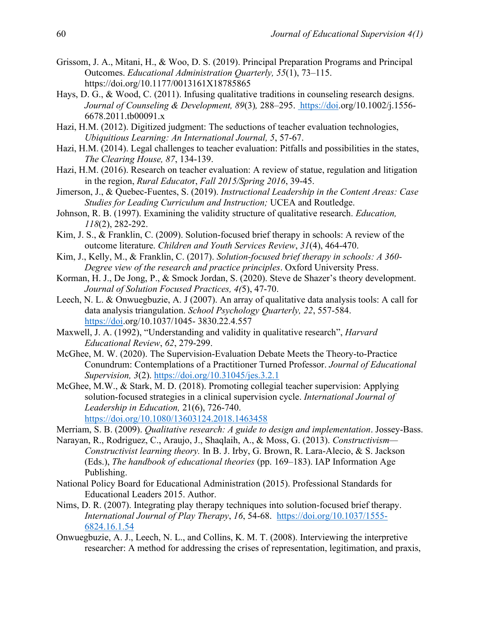- Grissom, J. A., Mitani, H., & Woo, D. S. (2019). Principal Preparation Programs and Principal Outcomes. *Educational Administration Quarterly, 55*(1), 73–115. https://doi.org/10.1177/0013161X18785865
- Hays, D. G., & Wood, C. (2011). Infusing qualitative traditions in counseling research designs. *Journal of Counseling & Development, 89*(3)*,* 288–295. [https://doi.](https://doi/)org/10.1002/j.1556- 6678.2011.tb00091.x
- Hazi, H.M. (2012). Digitized judgment: The seductions of teacher evaluation technologies, *Ubiquitious Learning: An International Journal, 5*, 57-67.
- Hazi, H.M. (2014). Legal challenges to teacher evaluation: Pitfalls and possibilities in the states, *The Clearing House, 87*, 134-139.
- Hazi, H.M. (2016). Research on teacher evaluation: A review of statue, regulation and litigation in the region, *Rural Educato*r, *Fall 2015/Spring 2016*, 39-45.
- Jimerson, J., & Quebec-Fuentes, S. (2019). *Instructional Leadership in the Content Areas: Case Studies for Leading Curriculum and Instruction;* UCEA and Routledge.
- Johnson, R. B. (1997). Examining the validity structure of qualitative research. *Education, 118*(2), 282-292.
- Kim, J. S., & Franklin, C. (2009). Solution-focused brief therapy in schools: A review of the outcome literature. *Children and Youth Services Review*, *31*(4), 464-470.
- Kim, J., Kelly, M., & Franklin, C. (2017). *Solution-focused brief therapy in schools: A 360- Degree view of the research and practice principles*. Oxford University Press.
- Korman, H. J., De Jong, P., & Smock Jordan, S. (2020). Steve de Shazer's theory development. *Journal of Solution Focused Practices, 4(*5), 47-70.
- Leech, N. L. & Onwuegbuzie, A. J (2007). An array of qualitative data analys[is tools: A call for](https://doi/)  data analysis triangulation. *School Psychology Quarterly, 22*, 557-584. [https://doi.](https://doi/)org/10.1037/1045- 3830.22.4.557
- Maxwell, J. A. (1992), "Understanding and validity in qualitative research", *Harvard Educational Review*, *62*, 279-299.
- McGhee, M. W. (2020). The Supervision-Evaluation Debate Meets the Theory-to-Practice Conundrum: Contemplations of a Practitioner Turned Professor. *Journal of Educational Supervision, 3*(2).<https://doi.org/10.31045/jes.3.2.1>
- McGhee, M.W., & Stark, M. D. (2018). Promoting collegial teacher supervision: Applying solution-focused strategies in a clinical supervision cycle. *International Journal of Leadership in Education,* 21(6), 726-740. <https://doi.org/10.1080/13603124.2018.1463458>
- Merriam, S. B. (2009). *Qualitative research: A guide to design and implementation*. Jossey-Bass.
- Narayan, R., Rodriguez, C., Araujo, J., Shaqlaih, A., & Moss, G. (2013). *Constructivism— Constructivist learning theory.* In B. J. Irby, G. Brown, R. Lara-Alecio, & S. Jackson (Eds.), *The handbook of educational theories* (pp. 169–183). IAP Information Age Publishing.
- National Policy Board for Educational Administration (2015). Professional Standards for Educational Leaders 2015. Author.
- Nims, D. R. (2007). Integrating play therapy techniques into solution-focused brief therapy. *International Journal of Play Therapy*, *16*, 54-68. [https://doi.org/10.1037/1555-](https://doi.org/10.1037/1555-6824.16.1.54) [6824.16.1.54](https://doi.org/10.1037/1555-6824.16.1.54)
- Onwuegbuzie, A. J., Leech, N. L., and Collins, K. M. T. (2008). Interviewing the interpretive researcher: A method for addressing the crises of representation, legitimation, and praxis,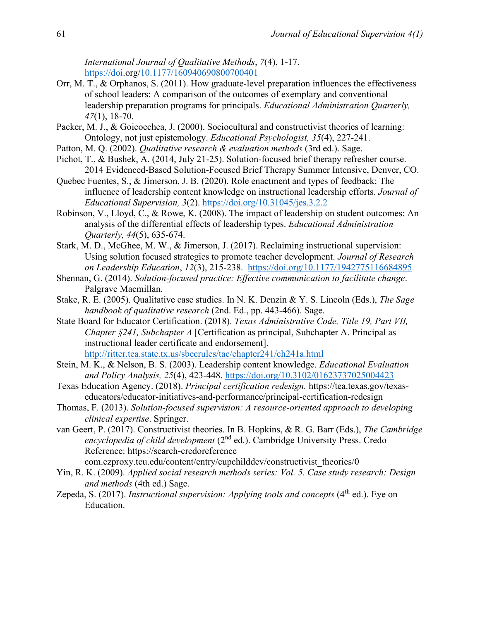*International Journal of Qualitative Methods*, *7*(4), 1-17. [https://doi.](https://doi/)org[/10.1177/160940690800700401](https://doi.org/10.1177%2F160940690800700401)

- Orr, M. T., & Orphanos, S. (2011). How graduate-level preparation influences the effectiveness of school leaders: A comparison of the outcomes of exemplary and conventional leadership preparation programs for principals. *Educational Administration Quarterly, 47*(1), 18-70.
- Packer, M. J., & Goicoechea, J. (2000). Sociocultural and constructivist theories of learning: Ontology, not just epistemology. *Educational Psychologist, 35*(4), 227-241.
- Patton, M. Q. (2002). *Qualitative research & evaluation methods* (3rd ed.). Sage.
- Pichot, T., & Bushek, A. (2014, July 21-25). Solution-focused brief therapy refresher course. 2014 Evidenced-Based Solution-Focused Brief Therapy Summer Intensive, Denver, CO.
- Quebec Fuentes, S., & Jimerson, J. B. (2020). Role enactment and types of feedback: The influence of leadership content knowledge on instructional leadership efforts. *Journal of Educational Supervision, 3*(2).<https://doi.org/10.31045/jes.3.2.2>
- Robinson, V., Lloyd, C., & Rowe, K. (2008). The impact of leadership on student outcomes: An analysis of the differential effects of leadership types. *Educational Administration Quarterly, 44*(5), 635-674.
- Stark, M. D., McGhee, M. W., & Jimerson, J. (2017). Reclaiming instructional supervision: Using solution focused strategies to promote teacher development. *Journal of Research on Leadership Education*, *12*(3), 215-238. <https://doi.org/10.1177/1942775116684895>
- Shennan, G. (2014). *Solution-focused practice: Effective communication to facilitate change*. Palgrave Macmillan.
- Stake, R. E. (2005). Qualitative case studies. In N. K. Denzin & Y. S. Lincoln (Eds.), *The Sage handbook of qualitative research* (2nd. Ed., pp. 443-466). Sage.
- State Board for Educator Certification. (2018). *Texas Administrative Code, Title 19, Part VII, Chapter §241, Subchapter A* [Certification as principal, Subchapter A. Principal as instructional leader certificate and endorsement]. <http://ritter.tea.state.tx.us/sbecrules/tac/chapter241/ch241a.html>
- Stein, M. K., & Nelson, B. S. (2003). Leadership content knowledge. *Educational Evaluation and Policy Analysis, 25*(4), 423-448.<https://doi.org/10.3102/01623737025004423>
- Texas Education Agency. (2018). *Principal certification redesign.* https://tea.texas.gov/texaseducators/educator-initiatives-and-performance/principal-certification-redesign
- Thomas, F. (2013). *Solution-focused supervision: A resource-oriented approach to developing clinical expertise*. Springer.
- van Geert, P. (2017). Constructivist theories. In B. Hopkins, & R. G. Barr (Eds.), *The Cambridge encyclopedia of child development* (2nd ed.). Cambridge University Press. Credo Reference: https://search-credoreference

com.ezproxy.tcu.edu/content/entry/cupchilddev/constructivist\_theories/0

- Yin, R. K. (2009). *Applied social research methods series: Vol. 5. Case study research: Design and methods* (4th ed.) Sage.
- Zepeda, S. (2017). *Instructional supervision: Applying tools and concepts* (4<sup>th</sup> ed.). Eye on Education.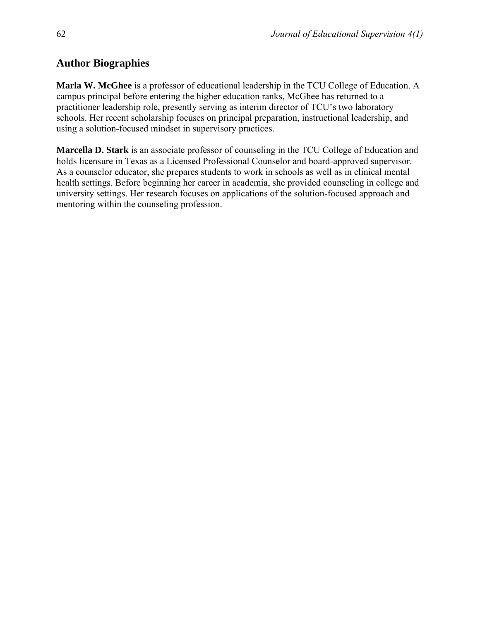# **Author Biographies**

**Marla W. McGhee** is a professor of educational leadership in the TCU College of Education. A campus principal before entering the higher education ranks, McGhee has returned to a practitioner leadership role, presently serving as interim director of TCU's two laboratory schools. Her recent scholarship focuses on principal preparation, instructional leadership, and using a solution-focused mindset in supervisory practices.

**Marcella D. Stark** is an associate professor of counseling in the TCU College of Education and holds licensure in Texas as a Licensed Professional Counselor and board-approved supervisor. As a counselor educator, she prepares students to work in schools as well as in clinical mental health settings. Before beginning her career in academia, she provided counseling in college and university settings. Her research focuses on applications of the solution-focused approach and mentoring within the counseling profession.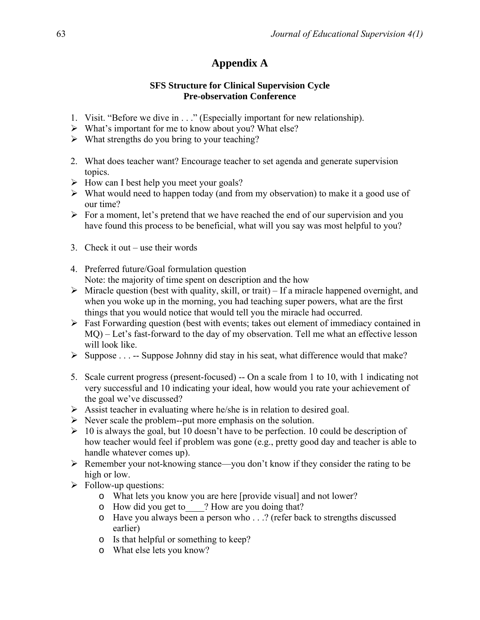# **Appendix A**

# **SFS Structure for Clinical Supervision Cycle Pre-observation Conference**

- 1. Visit. "Before we dive in . . ." (Especially important for new relationship).
- ➢ What's important for me to know about you? What else?
- $\triangleright$  What strengths do you bring to your teaching?
- 2. What does teacher want? Encourage teacher to set agenda and generate supervision topics.
- $\triangleright$  How can I best help you meet your goals?
- $\triangleright$  What would need to happen today (and from my observation) to make it a good use of our time?
- $\triangleright$  For a moment, let's pretend that we have reached the end of our supervision and you have found this process to be beneficial, what will you say was most helpful to you?
- 3. Check it out use their words
- 4. Preferred future/Goal formulation question Note: the majority of time spent on description and the how
- $\triangleright$  Miracle question (best with quality, skill, or trait) If a miracle happened overnight, and when you woke up in the morning, you had teaching super powers, what are the first things that you would notice that would tell you the miracle had occurred.
- ➢ Fast Forwarding question (best with events; takes out element of immediacy contained in MQ) – Let's fast-forward to the day of my observation. Tell me what an effective lesson will look like.
- $\triangleright$  Suppose . . . -- Suppose Johnny did stay in his seat, what difference would that make?
- 5. Scale current progress (present-focused) -- On a scale from 1 to 10, with 1 indicating not very successful and 10 indicating your ideal, how would you rate your achievement of the goal we've discussed?
- ➢ Assist teacher in evaluating where he/she is in relation to desired goal.
- $\triangleright$  Never scale the problem--put more emphasis on the solution.
- $\geq 10$  is always the goal, but 10 doesn't have to be perfection. 10 could be description of how teacher would feel if problem was gone (e.g., pretty good day and teacher is able to handle whatever comes up).
- ➢ Remember your not-knowing stance—you don't know if they consider the rating to be high or low.
- $\triangleright$  Follow-up questions:
	- o What lets you know you are here [provide visual] and not lower?
	- o How did you get to\_\_\_\_? How are you doing that?
	- o Have you always been a person who . . .? (refer back to strengths discussed earlier)
	- o Is that helpful or something to keep?
	- o What else lets you know?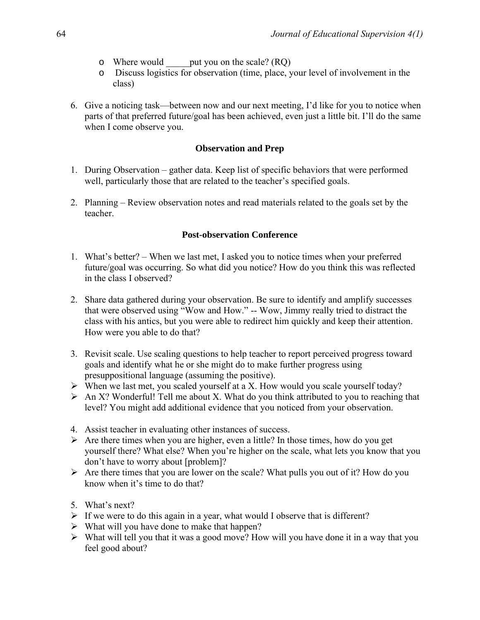- o Where would \_\_\_\_\_put you on the scale? (RQ)
- o Discuss logistics for observation (time, place, your level of involvement in the class)
- 6. Give a noticing task—between now and our next meeting, I'd like for you to notice when parts of that preferred future/goal has been achieved, even just a little bit. I'll do the same when I come observe you.

# **Observation and Prep**

- 1. During Observation gather data. Keep list of specific behaviors that were performed well, particularly those that are related to the teacher's specified goals.
- 2. Planning Review observation notes and read materials related to the goals set by the teacher.

# **Post-observation Conference**

- 1. What's better? When we last met, I asked you to notice times when your preferred future/goal was occurring. So what did you notice? How do you think this was reflected in the class I observed?
- 2. Share data gathered during your observation. Be sure to identify and amplify successes that were observed using "Wow and How." -- Wow, Jimmy really tried to distract the class with his antics, but you were able to redirect him quickly and keep their attention. How were you able to do that?
- 3. Revisit scale. Use scaling questions to help teacher to report perceived progress toward goals and identify what he or she might do to make further progress using presuppositional language (assuming the positive).
- ➢ When we last met, you scaled yourself at a X. How would you scale yourself today?
- $\triangleright$  An X? Wonderful! Tell me about X. What do you think attributed to you to reaching that level? You might add additional evidence that you noticed from your observation.
- 4. Assist teacher in evaluating other instances of success.
- $\triangleright$  Are there times when you are higher, even a little? In those times, how do you get yourself there? What else? When you're higher on the scale, what lets you know that you don't have to worry about [problem]?
- $\triangleright$  Are there times that you are lower on the scale? What pulls you out of it? How do you know when it's time to do that?
- 5. What's next?
- $\triangleright$  If we were to do this again in a year, what would I observe that is different?
- $\triangleright$  What will you have done to make that happen?
- ➢ What will tell you that it was a good move? How will you have done it in a way that you feel good about?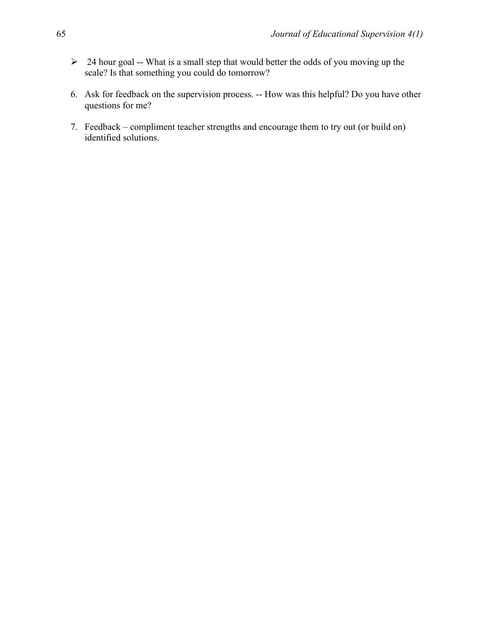- $\geq$  24 hour goal -- What is a small step that would better the odds of you moving up the scale? Is that something you could do tomorrow?
- 6. Ask for feedback on the supervision process. -- How was this helpful? Do you have other questions for me?
- 7. Feedback compliment teacher strengths and encourage them to try out (or build on) identified solutions.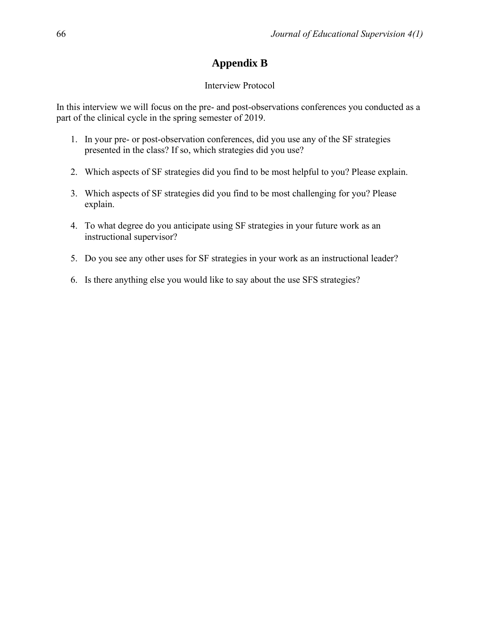# **Appendix B**

# Interview Protocol

In this interview we will focus on the pre- and post-observations conferences you conducted as a part of the clinical cycle in the spring semester of 2019.

- 1. In your pre- or post-observation conferences, did you use any of the SF strategies presented in the class? If so, which strategies did you use?
- 2. Which aspects of SF strategies did you find to be most helpful to you? Please explain.
- 3. Which aspects of SF strategies did you find to be most challenging for you? Please explain.
- 4. To what degree do you anticipate using SF strategies in your future work as an instructional supervisor?
- 5. Do you see any other uses for SF strategies in your work as an instructional leader?
- 6. Is there anything else you would like to say about the use SFS strategies?